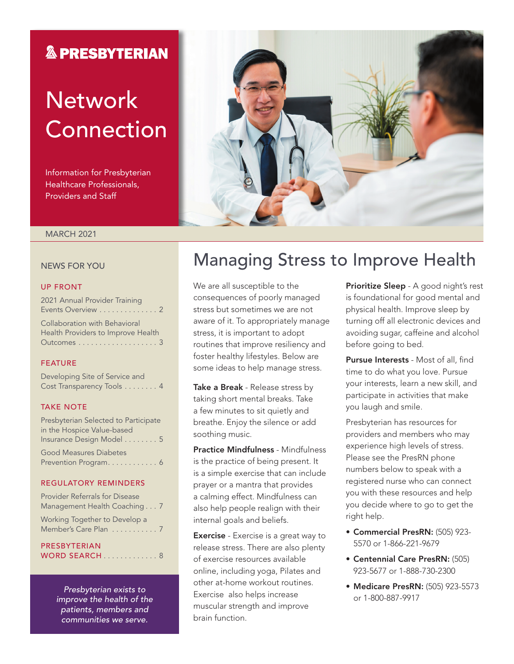### **& PRESBYTERIAN**

# **Network** Connection

Information for Presbyterian Healthcare Professionals, Providers and Staff



### MARCH 2021

#### NEWS FOR YOU

#### UP FRONT

2021 Annual Provider Training Events Overview . . . . . . . . . . . . . 2 Collaboration with Behavioral Health Providers to Improve Health Outcomes . . . . . . . . . . . . . . . . . . . 3

#### FEATURE

Developing Site of Service and Cost Transparency Tools . . . . . . . . 4

#### TAKE NOTE

| Presbyterian Selected to Participate |
|--------------------------------------|
| in the Hospice Value-based           |
| Insurance Design Model 5             |
| <b>Good Measures Diabetes</b>        |
| Prevention Program 6                 |

#### REGULATORY REMINDERS

| Provider Referrals for Disease<br>Management Health Coaching 7 |  |
|----------------------------------------------------------------|--|
| Working Together to Develop a<br>Member's Care Plan 7          |  |
| PRESBYTERIAN                                                   |  |

WORD SEARCH . . . . . . . . . . . . 8

*Presbyterian exists to improve the health of the patients, members and communities we serve.*

### Managing Stress to Improve Health

We are all susceptible to the consequences of poorly managed stress but sometimes we are not aware of it. To appropriately manage stress, it is important to adopt routines that improve resiliency and foster healthy lifestyles. Below are some ideas to help manage stress.

Take a Break - Release stress by taking short mental breaks. Take a few minutes to sit quietly and breathe. Enjoy the silence or add soothing music.

Practice Mindfulness - Mindfulness is the practice of being present. It is a simple exercise that can include prayer or a mantra that provides a calming effect. Mindfulness can also help people realign with their internal goals and beliefs.

**Exercise** - Exercise is a great way to release stress. There are also plenty of exercise resources available online, including yoga, Pilates and other at-home workout routines. Exercise also helps increase muscular strength and improve brain function.

Prioritize Sleep - A good night's rest is foundational for good mental and physical health. Improve sleep by turning off all electronic devices and avoiding sugar, caffeine and alcohol before going to bed.

Pursue Interests - Most of all, find time to do what you love. Pursue your interests, learn a new skill, and participate in activities that make you laugh and smile.

Presbyterian has resources for providers and members who may experience high levels of stress. Please see the PresRN phone numbers below to speak with a registered nurse who can connect you with these resources and help you decide where to go to get the right help.

- Commercial PresRN: (505) 923- 5570 or 1-866-221-9679
- Centennial Care PresRN: (505) 923-5677 or 1-888-730-2300
- Medicare PresRN: (505) 923-5573 or 1-800-887-9917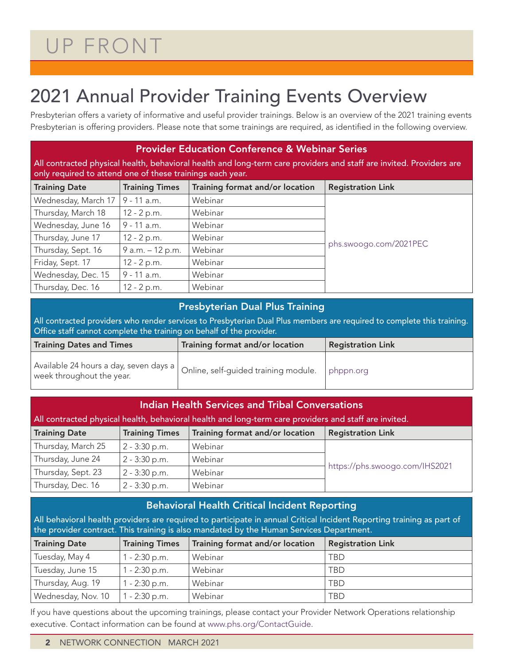## UP FRONT

## 2021 Annual Provider Training Events Overview

Presbyterian offers a variety of informative and useful provider trainings. Below is an overview of the 2021 training events Presbyterian is offering providers. Please note that some trainings are required, as identified in the following overview.

| <b>Provider Education Conference &amp; Webinar Series</b><br>All contracted physical health, behavioral health and long-term care providers and staff are invited. Providers are<br>only required to attend one of these trainings each year. |                       |                                 |                          |  |  |  |  |
|-----------------------------------------------------------------------------------------------------------------------------------------------------------------------------------------------------------------------------------------------|-----------------------|---------------------------------|--------------------------|--|--|--|--|
| <b>Training Date</b>                                                                                                                                                                                                                          | <b>Training Times</b> | Training format and/or location | <b>Registration Link</b> |  |  |  |  |
| Wednesday, March 17                                                                                                                                                                                                                           | 9 - 11 a.m.           | Webinar                         |                          |  |  |  |  |
| Thursday, March 18                                                                                                                                                                                                                            | $12 - 2 p.m.$         | Webinar                         |                          |  |  |  |  |
| Wednesday, June 16                                                                                                                                                                                                                            | $9 - 11$ a.m.         | Webinar                         |                          |  |  |  |  |
| Thursday, June 17                                                                                                                                                                                                                             | $12 - 2 p.m.$         | Webinar                         |                          |  |  |  |  |
| Thursday, Sept. 16                                                                                                                                                                                                                            | 9 a.m. - 12 p.m.      | Webinar                         | phs.swoogo.com/2021PEC   |  |  |  |  |
| Friday, Sept. 17                                                                                                                                                                                                                              | $12 - 2 p.m.$         | Webinar                         |                          |  |  |  |  |
| Wednesday, Dec. 15                                                                                                                                                                                                                            | 9 - 11 a.m.           | Webinar                         |                          |  |  |  |  |
| Thursday, Dec. 16                                                                                                                                                                                                                             | 12 - 2 p.m.           | Webinar                         |                          |  |  |  |  |

### Presbyterian Dual Plus Training

All contracted providers who render services to Presbyterian Dual Plus members are required to complete this training. Office staff cannot complete the training on behalf of the provider.

| <b>Training Dates and Times</b>                                     | Training format and/or location      | <b>Registration Link</b> |  |  |
|---------------------------------------------------------------------|--------------------------------------|--------------------------|--|--|
| Available 24 hours a day, seven days a<br>week throughout the year. | Online, self-guided training module. | phppn.org                |  |  |

| <b>Indian Health Services and Tribal Conversations</b><br>All contracted physical health, behavioral health and long-term care providers and staff are invited. |                       |                                 |                                |  |  |  |  |
|-----------------------------------------------------------------------------------------------------------------------------------------------------------------|-----------------------|---------------------------------|--------------------------------|--|--|--|--|
| <b>Training Date</b>                                                                                                                                            | <b>Training Times</b> | Training format and/or location | <b>Registration Link</b>       |  |  |  |  |
| Thursday, March 25                                                                                                                                              | $2 - 3:30$ p.m.       | Webinar                         |                                |  |  |  |  |
| Thursday, June 24                                                                                                                                               | $2 - 3:30$ p.m.       | Webinar                         |                                |  |  |  |  |
| Thursday, Sept. 23                                                                                                                                              | $2 - 3:30$ p.m.       | Webinar                         | https://phs.swoogo.com/IHS2021 |  |  |  |  |
| Thursday, Dec. 16                                                                                                                                               | $2 - 3:30$ p.m.       | Webinar                         |                                |  |  |  |  |

### Behavioral Health Critical Incident Reporting

All behavioral health providers are required to participate in annual Critical Incident Reporting training as part of the provider contract. This training is also mandated by the Human Services Department.

| <b>Training Date</b> | <b>Training Times</b> | Training format and/or location | <b>Registration Link</b> |
|----------------------|-----------------------|---------------------------------|--------------------------|
| Tuesday, May 4       | $1 - 2:30$ p.m.       | Webinar                         | TRD                      |
| Tuesday, June 15     | $1 - 2:30$ p.m.       | Webinar                         | <b>TBD</b>               |
| Thursday, Aug. 19    | $1 - 2:30$ p.m.       | Webinar                         | TBD                      |
| Wednesday, Nov. 10   | $1 - 2:30$ p.m.       | Webinar                         | <b>TBD</b>               |

If you have questions about the upcoming trainings, please contact your Provider Network Operations relationship executive. Contact information can be found at www.phs.org/ContactGuide.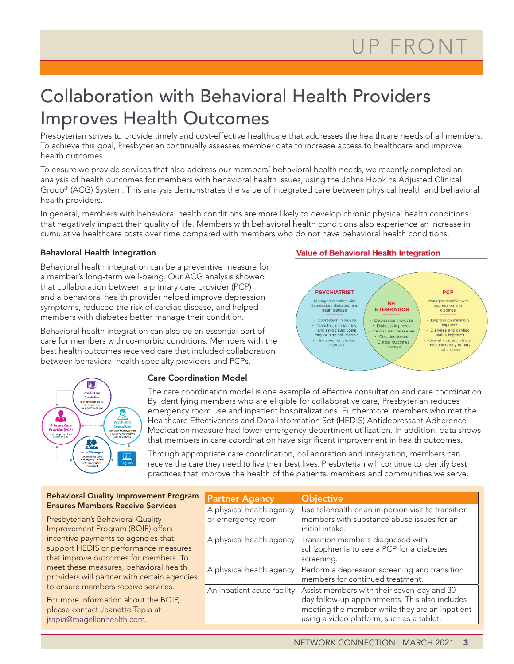### Collaboration with Behavioral Health Providers Improves Health Outcomes

Presbyterian strives to provide timely and cost-effective healthcare that addresses the healthcare needs of all members. To achieve this goal, Presbyterian continually assesses member data to increase access to healthcare and improve health outcomes.

To ensure we provide services that also address our members' behavioral health needs, we recently completed an analysis of health outcomes for members with behavioral health issues, using the Johns Hopkins Adjusted Clinical Group® (ACG) System. This analysis demonstrates the value of integrated care between physical health and behavioral health providers.

In general, members with behavioral health conditions are more likely to develop chronic physical health conditions that negatively impact their quality of life. Members with behavioral health conditions also experience an increase in cumulative healthcare costs over time compared with members who do not have behavioral health conditions.

### Behavioral Health Integration

Behavioral health integration can be a preventive measure for a member's long-term well-being. Our ACG analysis showed that collaboration between a primary care provider (PCP) and a behavioral health provider helped improve depression symptoms, reduced the risk of cardiac disease, and helped members with diabetes better manage their condition.

Behavioral health integration can also be an essential part of care for members with co-morbid conditions. Members with the best health outcomes received care that included collaboration between behavioral health specialty providers and PCPs.

### **Value of Behavioral Health Integration**





#### Care Coordination Model

The care coordination model is one example of effective consultation and care coordination. By identifying members who are eligible for collaborative care, Presbyterian reduces emergency room use and inpatient hospitalizations. Furthermore, members who met the Healthcare Effectiveness and Data Information Set (HEDIS) Antidepressant Adherence Medication measure had lower emergency department utilization. In addition, data shows that members in care coordination have significant improvement in health outcomes.

Through appropriate care coordination, collaboration and integration, members can receive the care they need to live their best lives. Presbyterian will continue to identify best practices that improve the health of the patients, members and communities we serve.

| <b>Behavioral Quality Improvement Program</b> | <b>Partner Agency</b>       | <b>Objective</b>                                             |  |  |
|-----------------------------------------------|-----------------------------|--------------------------------------------------------------|--|--|
| <b>Ensures Members Receive Services</b>       | A physical health agency    | Use telehealth or an in-person visit to transition           |  |  |
| Presbyterian's Behavioral Quality             | or emergency room           | members with substance abuse issues for an                   |  |  |
| Improvement Program (BQIP) offers             |                             | initial intake.                                              |  |  |
| incentive payments to agencies that           |                             | A physical health agency   Transition members diagnosed with |  |  |
| support HEDIS or performance measures         |                             | schizophrenia to see a PCP for a diabetes                    |  |  |
| that improve outcomes for members. To         |                             | screening.                                                   |  |  |
| meet these measures, behavioral health        | A physical health agency    | Perform a depression screening and transition                |  |  |
| providers will partner with certain agencies  |                             | members for continued treatment.                             |  |  |
| to ensure members receive services.           | An inpatient acute facility | Assist members with their seven-day and 30-                  |  |  |
| For more information about the BQIP,          |                             | day follow-up appointments. This also includes               |  |  |
| please contact Jeanette Tapia at              |                             | meeting the member while they are an inpatient               |  |  |
| jtapia@magellanhealth.com.                    |                             | using a video platform, such as a tablet.                    |  |  |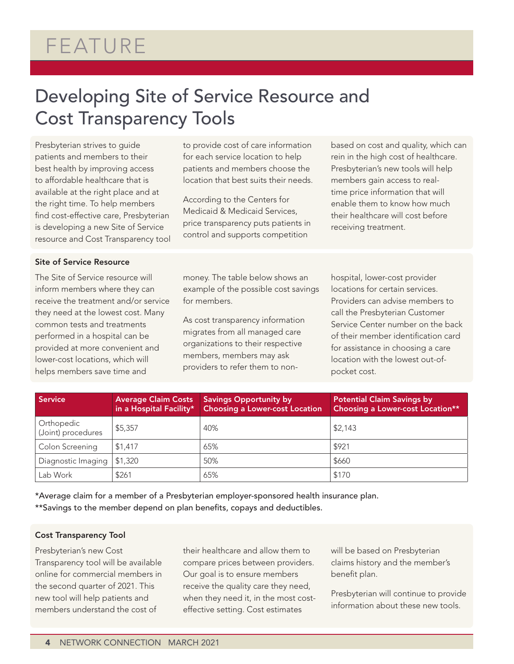## FEATURE

### Developing Site of Service Resource and Cost Transparency Tools

Presbyterian strives to guide patients and members to their best health by improving access to affordable healthcare that is available at the right place and at the right time. To help members find cost-effective care, Presbyterian is developing a new Site of Service resource and Cost Transparency tool to provide cost of care information for each service location to help patients and members choose the location that best suits their needs.

According to the Centers for Medicaid & Medicaid Services, price transparency puts patients in control and supports competition

based on cost and quality, which can rein in the high cost of healthcare. Presbyterian's new tools will help members gain access to realtime price information that will enable them to know how much their healthcare will cost before receiving treatment.

#### Site of Service Resource

The Site of Service resource will inform members where they can receive the treatment and/or service they need at the lowest cost. Many common tests and treatments performed in a hospital can be provided at more convenient and lower-cost locations, which will helps members save time and

money. The table below shows an example of the possible cost savings for members.

As cost transparency information migrates from all managed care organizations to their respective members, members may ask providers to refer them to nonhospital, lower-cost provider locations for certain services. Providers can advise members to call the Presbyterian Customer Service Center number on the back of their member identification card for assistance in choosing a care location with the lowest out-ofpocket cost.

| Service                          | Average Claim Costs<br>in a Hospital Facility* | <b>Savings Opportunity by</b><br><b>Choosing a Lower-cost Location</b> | <b>Potential Claim Savings by</b><br>Choosing a Lower-cost Location** |
|----------------------------------|------------------------------------------------|------------------------------------------------------------------------|-----------------------------------------------------------------------|
| Orthopedic<br>(Joint) procedures | \$5,357                                        | 40%                                                                    | \$2,143                                                               |
| Colon Screening                  | \$1,417                                        | 65%                                                                    | \$921                                                                 |
| Diagnostic Imaging               | \$1,320                                        | 50%                                                                    | \$660                                                                 |
| Lab Work                         | \$261                                          | 65%                                                                    | \$170                                                                 |

\*Average claim for a member of a Presbyterian employer-sponsored health insurance plan. \*\*Savings to the member depend on plan benefits, copays and deductibles.

#### Cost Transparency Tool

Presbyterian's new Cost Transparency tool will be available online for commercial members in the second quarter of 2021. This new tool will help patients and members understand the cost of

their healthcare and allow them to compare prices between providers. Our goal is to ensure members receive the quality care they need, when they need it, in the most costeffective setting. Cost estimates

will be based on Presbyterian claims history and the member's benefit plan.

Presbyterian will continue to provide information about these new tools.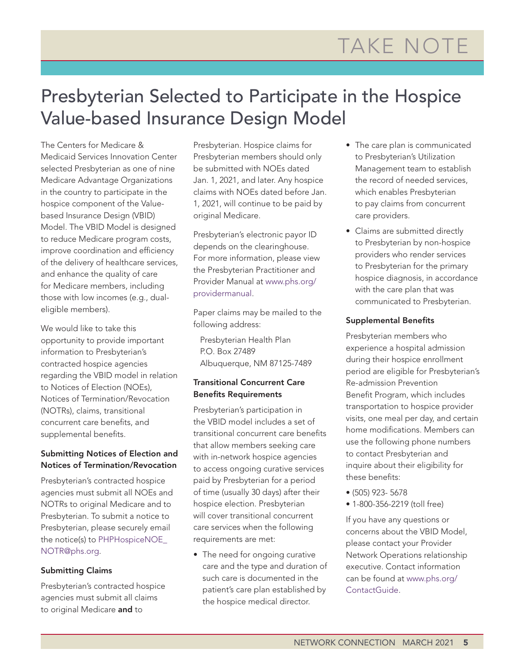### Presbyterian Selected to Participate in the Hospice Value-based Insurance Design Model

The Centers for Medicare & Medicaid Services Innovation Center selected Presbyterian as one of nine Medicare Advantage Organizations in the country to participate in the hospice component of the Valuebased Insurance Design (VBID) Model. The VBID Model is designed to reduce Medicare program costs, improve coordination and efficiency of the delivery of healthcare services, and enhance the quality of care for Medicare members, including those with low incomes (e.g., dualeligible members).

We would like to take this opportunity to provide important information to Presbyterian's contracted hospice agencies regarding the VBID model in relation to Notices of Election (NOEs), Notices of Termination/Revocation (NOTRs), claims, transitional concurrent care benefits, and supplemental benefits.

### Submitting Notices of Election and Notices of Termination/Revocation

Presbyterian's contracted hospice agencies must submit all NOEs and NOTRs to original Medicare and to Presbyterian. To submit a notice to Presbyterian, please securely email the notice(s) to PHPHospiceNOE\_ NOTR@phs.org.

### Submitting Claims

Presbyterian's contracted hospice agencies must submit all claims to original Medicare and to

Presbyterian. Hospice claims for Presbyterian members should only be submitted with NOEs dated Jan. 1, 2021, and later. Any hospice claims with NOEs dated before Jan. 1, 2021, will continue to be paid by original Medicare.

Presbyterian's electronic payor ID depends on the clearinghouse. For more information, please view the Presbyterian Practitioner and Provider Manual at www.phs.org/ providermanual.

Paper claims may be mailed to the following address:

Presbyterian Health Plan P.O. Box 27489 Albuquerque, NM 87125-7489

### Transitional Concurrent Care Benefits Requirements

Presbyterian's participation in the VBID model includes a set of transitional concurrent care benefits that allow members seeking care with in-network hospice agencies to access ongoing curative services paid by Presbyterian for a period of time (usually 30 days) after their hospice election. Presbyterian will cover transitional concurrent care services when the following requirements are met:

• The need for ongoing curative care and the type and duration of such care is documented in the patient's care plan established by the hospice medical director.

- The care plan is communicated to Presbyterian's Utilization Management team to establish the record of needed services, which enables Presbyterian to pay claims from concurrent care providers.
- Claims are submitted directly to Presbyterian by non-hospice providers who render services to Presbyterian for the primary hospice diagnosis, in accordance with the care plan that was communicated to Presbyterian.

### Supplemental Benefits

Presbyterian members who experience a hospital admission during their hospice enrollment period are eligible for Presbyterian's Re-admission Prevention Benefit Program, which includes transportation to hospice provider visits, one meal per day, and certain home modifications. Members can use the following phone numbers to contact Presbyterian and inquire about their eligibility for these benefits:

- (505) 923- 5678
- 1-800-356-2219 (toll free)

If you have any questions or concerns about the VBID Model, please contact your Provider Network Operations relationship executive. Contact information can be found at www.phs.org/ ContactGuide.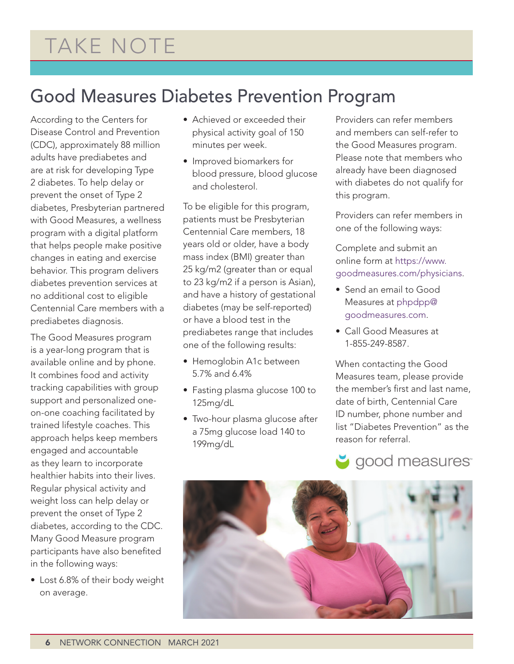### Good Measures Diabetes Prevention Program

According to the Centers for Disease Control and Prevention (CDC), approximately 88 million adults have prediabetes and are at risk for developing Type 2 diabetes. To help delay or prevent the onset of Type 2 diabetes, Presbyterian partnered with Good Measures, a wellness program with a digital platform that helps people make positive changes in eating and exercise behavior. This program delivers diabetes prevention services at no additional cost to eligible Centennial Care members with a prediabetes diagnosis.

The Good Measures program is a year-long program that is available online and by phone. It combines food and activity tracking capabilities with group support and personalized oneon-one coaching facilitated by trained lifestyle coaches. This approach helps keep members engaged and accountable as they learn to incorporate healthier habits into their lives. Regular physical activity and weight loss can help delay or prevent the onset of Type 2 diabetes, according to the CDC. Many Good Measure program participants have also benefited in the following ways:

• Lost 6.8% of their body weight on average.

- Achieved or exceeded their physical activity goal of 150 minutes per week.
- Improved biomarkers for blood pressure, blood glucose and cholesterol.

To be eligible for this program, patients must be Presbyterian Centennial Care members, 18 years old or older, have a body mass index (BMI) greater than 25 kg/m2 (greater than or equal to 23 kg/m2 if a person is Asian), and have a history of gestational diabetes (may be self-reported) or have a blood test in the prediabetes range that includes one of the following results:

- Hemoglobin A1c between 5.7% and 6.4%
- Fasting plasma glucose 100 to 125mg/dL
- Two-hour plasma glucose after a 75mg glucose load 140 to 199mg/dL

Providers can refer members and members can self-refer to the Good Measures program. Please note that members who already have been diagnosed with diabetes do not qualify for this program.

Providers can refer members in one of the following ways:

Complete and submit an online form at https://www. goodmeasures.com/physicians.

- Send an email to Good Measures at phpdpp@ goodmeasures.com.
- Call Good Measures at 1-855-249-8587.

When contacting the Good Measures team, please provide the member's first and last name, date of birth, Centennial Care ID number, phone number and list "Diabetes Prevention" as the reason for referral.



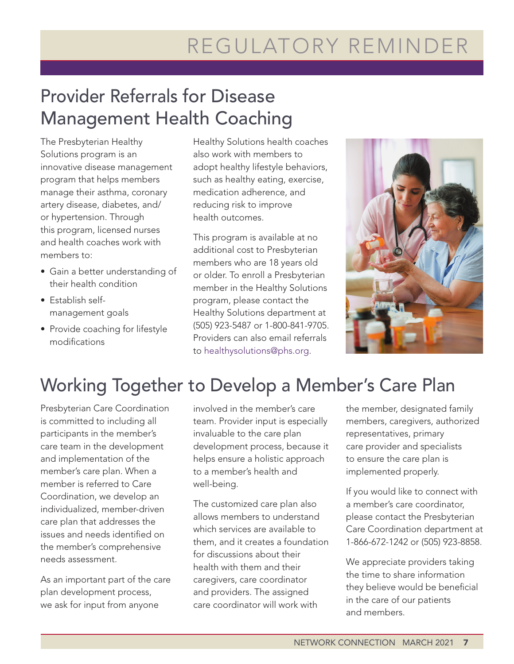# REGULATORY REMINDER

## Provider Referrals for Disease Management Health Coaching

The Presbyterian Healthy Solutions program is an innovative disease management program that helps members manage their asthma, coronary artery disease, diabetes, and/ or hypertension. Through this program, licensed nurses and health coaches work with members to:

- Gain a better understanding of their health condition
- Establish selfmanagement goals
- Provide coaching for lifestyle modifications

Healthy Solutions health coaches also work with members to adopt healthy lifestyle behaviors, such as healthy eating, exercise, medication adherence, and reducing risk to improve health outcomes.

This program is available at no additional cost to Presbyterian members who are 18 years old or older. To enroll a Presbyterian member in the Healthy Solutions program, please contact the Healthy Solutions department at (505) 923-5487 or 1-800-841-9705. Providers can also email referrals to healthysolutions@phs.org.



### Working Together to Develop a Member's Care Plan

Presbyterian Care Coordination is committed to including all participants in the member's care team in the development and implementation of the member's care plan. When a member is referred to Care Coordination, we develop an individualized, member-driven care plan that addresses the issues and needs identified on the member's comprehensive needs assessment.

As an important part of the care plan development process, we ask for input from anyone

involved in the member's care team. Provider input is especially invaluable to the care plan development process, because it helps ensure a holistic approach to a member's health and well-being.

The customized care plan also allows members to understand which services are available to them, and it creates a foundation for discussions about their health with them and their caregivers, care coordinator and providers. The assigned care coordinator will work with

the member, designated family members, caregivers, authorized representatives, primary care provider and specialists to ensure the care plan is implemented properly.

If you would like to connect with a member's care coordinator, please contact the Presbyterian Care Coordination department at 1-866-672-1242 or (505) 923-8858.

We appreciate providers taking the time to share information they believe would be beneficial in the care of our patients and members.